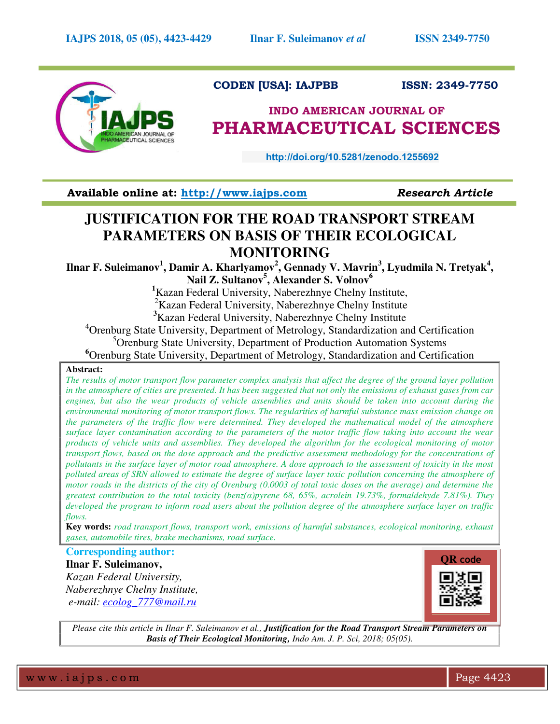

## **CODEN [USA]: IAJPBB ISSN: 2349-7750**

# **INDO AMERICAN JOURNAL OF PHARMACEUTICAL SCIENCES**

**http://doi.org/10.5281/zenodo.1255692** 

**Available online at: [http://www.iajps.com](http://www.iajps.com/)** *Research Article*

# **JUSTIFICATION FOR THE ROAD TRANSPORT STREAM PARAMETERS ON BASIS OF THEIR ECOLOGICAL MONITORING**

 $\boldsymbol{\mathrm{I}}$ lnar F. Suleimanov $^1$ , Damir A. Kharlyamov $^2$ , Gennady V. Mavrin $^3$ , Lyudmila N. Tretyak $^4$ , **Nail Z. Sultanov<sup>5</sup> , Alexander S. Volnov<sup>6</sup>**

**<sup>1</sup>**Kazan Federal University, Naberezhnye Chelny Institute,

<sup>2</sup>Kazan Federal University, Naberezhnye Chelny Institute

**<sup>3</sup>**Kazan Federal University, Naberezhnye Chelny Institute

<sup>4</sup> Orenburg State University, Department of Metrology, Standardization and Certification <sup>5</sup>Orenburg State University, Department of Production Automation Systems

**<sup>6</sup>**Orenburg State University, Department of Metrology, Standardization and Certification

### **Abstract:**

*The results of motor transport flow parameter complex analysis that affect the degree of the ground layer pollution in the atmosphere of cities are presented. It has been suggested that not only the emissions of exhaust gases from car engines, but also the wear products of vehicle assemblies and units should be taken into account during the environmental monitoring of motor transport flows. The regularities of harmful substance mass emission change on the parameters of the traffic flow were determined. They developed the mathematical model of the atmosphere surface layer contamination according to the parameters of the motor traffic flow taking into account the wear products of vehicle units and assemblies. They developed the algorithm for the ecological monitoring of motor transport flows, based on the dose approach and the predictive assessment methodology for the concentrations of pollutants in the surface layer of motor road atmosphere. A dose approach to the assessment of toxicity in the most polluted areas of SRN allowed to estimate the degree of surface layer toxic pollution concerning the atmosphere of motor roads in the districts of the city of Orenburg (0.0003 of total toxic doses on the average) and determine the greatest contribution to the total toxicity (benz(α)pyrene 68, 65%, acrolein 19.73%, formaldehyde 7.81%). They developed the program to inform road users about the pollution degree of the atmosphere surface layer on traffic flows.* 

**Key words:** *road transport flows, transport work, emissions of harmful substances, ecological monitoring, exhaust gases, automobile tires, brake mechanisms, road surface.* 

# **Corresponding author:**

**Ilnar F. Suleimanov,**  *Kazan Federal University, Naberezhnye Chelny Institute, e-mail: [ecolog\\_777@mail.ru](mailto:ecolog_777@mail.ru)* 



*Please cite this article in Ilnar F. Suleimanov et al., Justification for the Road Transport Stream Parameters on Basis of Their Ecological Monitoring, Indo Am. J. P. Sci, 2018; 05(05).*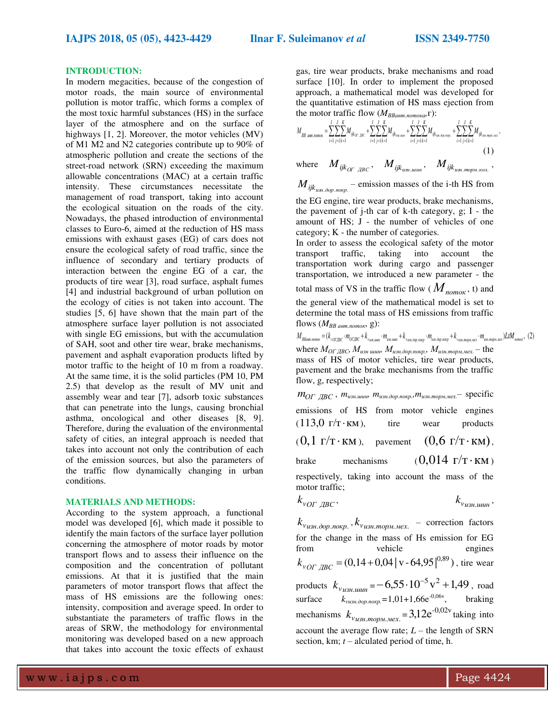#### **INTRODUCTION:**

In modern megacities, because of the congestion of motor roads, the main source of environmental pollution is motor traffic, which forms a complex of the most toxic harmful substances (HS) in the surface layer of the atmosphere and on the surface of highways [1, 2]. Moreover, the motor vehicles (MV) of M1 M2 and N2 categories contribute up to 90% of atmospheric pollution and create the sections of the street-road network (SRN) exceeding the maximum allowable concentrations (MAC) at a certain traffic intensity. These circumstances necessitate the management of road transport, taking into account the ecological situation on the roads of the city. Nowadays, the phased introduction of environmental classes to Euro-6, aimed at the reduction of HS mass emissions with exhaust gases (EG) of cars does not ensure the ecological safety of road traffic, since the influence of secondary and tertiary products of interaction between the engine EG of a car, the products of tire wear [3], road surface, asphalt fumes [4] and industrial background of urban pollution on the ecology of cities is not taken into account. The studies [5, 6] have shown that the main part of the atmosphere surface layer pollution is not associated with single EG emissions, but with the accumulation of SAH, soot and other tire wear, brake mechanisms, pavement and asphalt evaporation products lifted by motor traffic to the height of 10 m from a roadway. At the same time, it is the solid particles (PM 10, PM 2.5) that develop as the result of MV unit and assembly wear and tear [7], adsorb toxic substances that can penetrate into the lungs, causing bronchial asthma, oncological and other diseases [8, 9]. Therefore, during the evaluation of the environmental safety of cities, an integral approach is needed that takes into account not only the contribution of each of the emission sources, but also the parameters of the traffic flow dynamically changing in urban conditions.

#### **MATERIALS AND METHODS:**

According to the system approach, a functional model was developed [6], which made it possible to identify the main factors of the surface layer pollution concerning the atmosphere of motor roads by motor transport flows and to assess their influence on the composition and the concentration of pollutant emissions. At that it is justified that the main parameters of motor transport flows that affect the mass of HS emissions are the following ones: intensity, composition and average speed. In order to substantiate the parameters of traffic flows in the areas of SRW, the methodology for environmental monitoring was developed based on a new approach that takes into account the toxic effects of exhaust

gas, tire wear products, brake mechanisms and road surface [10]. In order to implement the proposed approach, a mathematical model was developed for the quantitative estimation of HS mass ejection from the motor traffic flow  $(M_{RRaem\,nonexa} \Gamma)$ :

$$
M_{BB\text{ atom},\text{nomox}} = \sum_{i=1}^{I} \sum_{j=1}^{K} M_{ijk_{\text{OF},\text{BBC}}} + \sum_{i=1}^{I} \sum_{j=1}^{J} \sum_{k=1}^{K} M_{ijk_{\text{cm},\text{num}}} + \sum_{i=1}^{I} \sum_{j=1}^{J} \sum_{k=1}^{K} M_{ijk_{\text{cm},\text{loop},\text{map}}}. + \sum_{i=1}^{I} \sum_{j=1}^{J} \sum_{k=1}^{K} M_{ijk_{\text{cm},\text{input},\text{next}}}}.
$$
(1)

 $M_{ijk}$ <sub>*UBC*</sub>,  $M_{ijk}$ <sub>*uBH.Luum*</sub>,  $M_{ijk}$ <sub>*uBH.LWD<sub>i</sub>R<sub>uBH.mopM.kon.*</sub>,</sub>

 $M_{ijk_{u\mathcal{H},\partial op,nosp}}$  – emission masses of the i-th HS from the EG engine, tire wear products, brake mechanisms,

the pavement of j-th car of k-th category, g; I - the amount of HS; J - the number of vehicles of one category; K - the number of categories.

In order to assess the ecological safety of the motor transport traffic, taking into account the transportation work during cargo and passenger transportation, we introduced a new parameter - the total mass of VS in the traffic flow ( $M_{\text{nomow}}$ , t) and the general view of the mathematical model is set to determine the total mass of HS emissions from traffic flows  $(M_{BB\ aem.nomok}, g)$ :

 $M_{BBam,nomoc} = (k_{vOTJBC} \cdot m_{OTJBC} + k_{v_{1281,1400}} \cdot m_{u_{181,1400}} + k_{v_{1281,000,10020}} \cdot m_{u_{181,000,noc}} + k_{v_{1281,m001u,1002}} \cdot m_{u_{181,m001u,1002}} \cdot m_{u_{181,m001u,100}})$ where  $M_{OT\, \text{JBC}}$ ,  $M_{us}$   $_{uu}$   $_{uu}$ ,  $M_{us}$   $_{ho}$ ,  $_{o}$   $_{p, no}$   $_{p, n}$ ,  $M_{us}$   $_{m}$ .  $_{m}$   $_{m}$   $_{m}$ .  $-$  the mass of HS of motor vehicles, tire wear products, pavement and the brake mechanisms from the traffic flow, g, respectively;

 $m_{\text{OF \, \,JBC}}$  ,  $m_{\text{us}}$ *, шинь*  $m_{\text{us}}$ *, дор.покр.*  $m_{\text{us}}$ *, торм.мех.* — specific emissions of HS from motor vehicle engines  $(113,0 \tGamma/T \cdot KM)$ , tire wear products  $(0,1 \Gamma/T \cdot KM)$ , pavement  $(0,6 \Gamma/T \cdot KM)$ , brake mechanisms  $(0,014 \text{ T/T} \cdot \text{KM})$ respectively, taking into account the mass of the motor traffic;

$$
k_{\nu O\Gamma \ \overline{A}BC}, \qquad k_{\nu_{\mu 3H \ \mu \mu \mu}},
$$

 $k_{v_{\textit{UBH}}.\textit{loop.nosp.}}, k_{v_{\textit{UBH}}.\textit{mop.} \textit{mex.}}$  – correction factors for the change in the mass of Hs emission for EG vehicle engines  $k_{vOT \ \overline{ABC}} = (0.14 + 0.04 \, | \, v \cdot 64.95 \, |^{0.89})$ , tire wear products  $k_{v_{UBH, UUUH}} = -6,55 \cdot 10^{-5} \,\mathrm{v}^2 + 1,49$ , road surface  $k_{\text{vus},i\text{,loop},\text{nov},p} = 1,01+1,66e^{-0,06v}$ , braking mechanisms  $k_{v_{\text{UBH.}mopM.MEX}} = 3.12e^{-0.02v}$  taking into account the average flow rate;  $L$  – the length of SRN section, km; *t* – alculated period of time, h.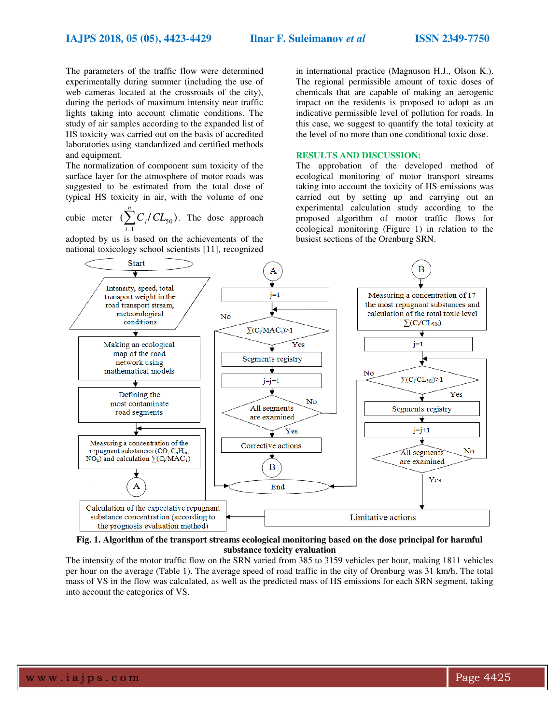#### **IAJPS 2018, 05 (05), 4423-4429 Ilnar F. Suleimanov** *et al* **ISSN 2349-7750**

The parameters of the traffic flow were determined experimentally during summer (including the use of web cameras located at the crossroads of the city), during the periods of maximum intensity near traffic lights taking into account climatic conditions. The study of air samples according to the expanded list of HS toxicity was carried out on the basis of accredited laboratories using standardized and certified methods and equipment.

The normalization of component sum toxicity of the surface layer for the atmosphere of motor roads was suggested to be estimated from the total dose of typical HS toxicity in air, with the volume of one

cubic meter  $\left(\sum_{i}^{n} C_i / CL_{50}\right)$ 1 = *i*  $C_i / CL_{50}$ ). The dose approach

adopted by us is based on the achievements of the national toxicology school scientists [11], recognized in international practice (Magnuson H.J., Olson K.). The regional permissible amount of toxic doses of chemicals that are capable of making an aerogenic impact on the residents is proposed to adopt as an indicative permissible level of pollution for roads. In this case, we suggest to quantify the total toxicity at the level of no more than one conditional toxic dose.

#### **RESULTS AND DISCUSSION:**

The approbation of the developed method of ecological monitoring of motor transport streams taking into account the toxicity of HS emissions was carried out by setting up and carrying out an experimental calculation study according to the proposed algorithm of motor traffic flows for ecological monitoring (Figure 1) in relation to the busiest sections of the Orenburg SRN.



**Fig. 1. Algorithm of the transport streams ecological monitoring based on the dose principal for harmful substance toxicity evaluation** 

The intensity of the motor traffic flow on the SRN varied from 385 to 3159 vehicles per hour, making 1811 vehicles per hour on the average (Table 1). The average speed of road traffic in the city of Orenburg was 31 km/h. The total mass of VS in the flow was calculated, as well as the predicted mass of HS emissions for each SRN segment, taking into account the categories of VS.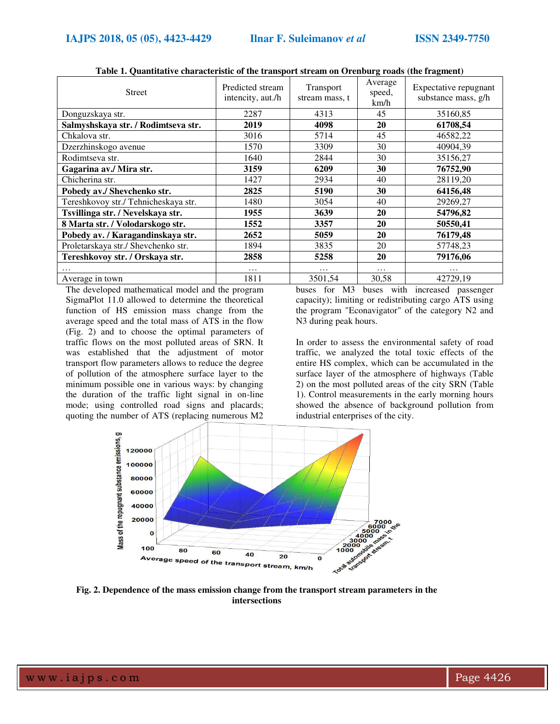| <b>Street</b>                        | $\ldots$ . The complete second on $\sigma$ , $\ldots$ and $\sigma$ (integrating)<br>Predicted stream<br>intencity, aut./h | Transport<br>stream mass, t | Average<br>speed,<br>km/h | Expectative repugnant<br>substance mass, g/h |
|--------------------------------------|---------------------------------------------------------------------------------------------------------------------------|-----------------------------|---------------------------|----------------------------------------------|
| Donguzskaya str.                     | 2287                                                                                                                      | 4313                        | 45                        | 35160,85                                     |
| Salmyshskaya str. / Rodimtseva str.  | 2019                                                                                                                      | 4098                        | 20                        | 61708,54                                     |
| Chkalova str.                        | 3016                                                                                                                      | 5714                        | 45                        | 46582,22                                     |
| Dzerzhinskogo avenue                 | 1570                                                                                                                      | 3309                        | 30                        | 40904,39                                     |
| Rodimtseva str.                      | 1640                                                                                                                      | 2844                        | 30                        | 35156,27                                     |
| Gagarina av./ Mira str.              | 3159                                                                                                                      | 6209                        | 30                        | 76752,90                                     |
| Chicherina str.                      | 1427                                                                                                                      | 2934                        | 40                        | 28119,20                                     |
| Pobedy av./ Shevchenko str.          | 2825                                                                                                                      | 5190                        | 30                        | 64156,48                                     |
| Tereshkovoy str./ Tehnicheskaya str. | 1480                                                                                                                      | 3054                        | 40                        | 29269,27                                     |
| Tsvillinga str. / Nevelskaya str.    | 1955                                                                                                                      | 3639                        | 20                        | 54796,82                                     |
| 8 Marta str. / Volodarskogo str.     | 1552                                                                                                                      | 3357                        | 20                        | 50550,41                                     |
| Pobedy av. / Karagandinskaya str.    | 2652                                                                                                                      | 5059                        | 20                        | 76179,48                                     |
| Proletarskaya str./ Shevchenko str.  | 1894                                                                                                                      | 3835                        | 20                        | 57748,23                                     |
| Tereshkovoy str. / Orskaya str.      | 2858                                                                                                                      | 5258                        | 20                        | 79176,06                                     |
|                                      | $\cdots$                                                                                                                  | .                           | $\cdots$                  | .                                            |
| Average in town                      | 1811                                                                                                                      | 3501,54                     | 30,58                     | 42729,19                                     |

**Table 1. Quantitative characteristic of the transport stream on Orenburg roads (the fragment)** 

The developed mathematical model and the program SigmaPlot 11.0 allowed to determine the theoretical function of HS emission mass change from the average speed and the total mass of ATS in the flow (Fig. 2) and to choose the optimal parameters of traffic flows on the most polluted areas of SRN. It was established that the adjustment of motor transport flow parameters allows to reduce the degree of pollution of the atmosphere surface layer to the minimum possible one in various ways: by changing the duration of the traffic light signal in on-line mode; using controlled road signs and placards; quoting the number of ATS (replacing numerous M2

buses for M3 buses with increased passenger capacity); limiting or redistributing cargo ATS using the program "Econavigator" of the category N2 and N3 during peak hours.

In order to assess the environmental safety of road traffic, we analyzed the total toxic effects of the entire HS complex, which can be accumulated in the surface layer of the atmosphere of highways (Table 2) on the most polluted areas of the city SRN (Table 1). Control measurements in the early morning hours showed the absence of background pollution from industrial enterprises of the city.



**Fig. 2. Dependence of the mass emission change from the transport stream parameters in the intersections**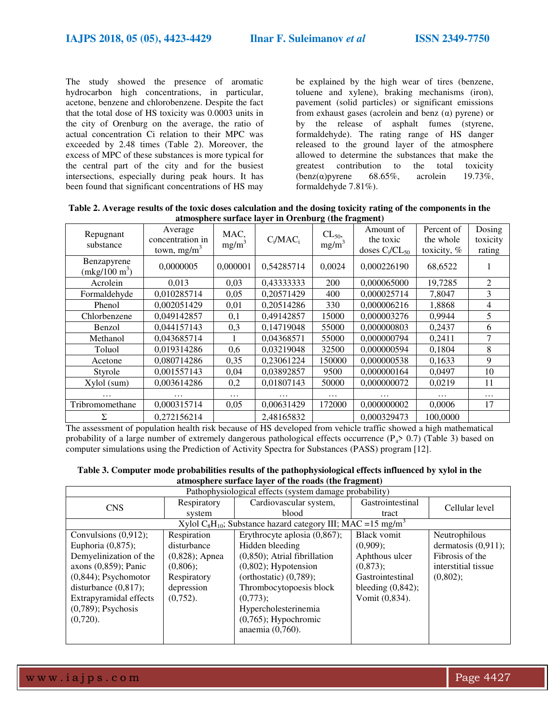The study showed the presence of aromatic hydrocarbon high concentrations, in particular, acetone, benzene and chlorobenzene. Despite the fact that the total dose of HS toxicity was 0.0003 units in the city of Orenburg on the average, the ratio of actual concentration Ci relation to their MPC was exceeded by 2.48 times (Table 2). Moreover, the excess of MPC of these substances is more typical for the central part of the city and for the busiest intersections, especially during peak hours. It has been found that significant concentrations of HS may

be explained by the high wear of tires (benzene, toluene and xylene), braking mechanisms (iron), pavement (solid particles) or significant emissions from exhaust gases (acrolein and benz  $(\alpha)$  pyrene) or by the release of asphalt fumes (styrene, formaldehyde). The rating range of HS danger released to the ground layer of the atmosphere allowed to determine the substances that make the greatest contribution to the total toxicity<br>(benz( $\alpha$ ) pyrene 68.65%, acrolein 19.73%,  $(benz(\alpha)$ pyrene 68.65%, acrolein formaldehyde 7.81%).

**Table 2. Average results of the toxic doses calculation and the dosing toxicity rating of the components in the atmosphere surface layer in Orenburg (the fragment)** 

| Repugnant<br>substance         | Average<br>concentration in<br>town, $mg/m^3$ | MAC,<br>$mg/m^3$ | $C_i/MAC_i$ | $CL_{50}$<br>mg/m <sup>3</sup> | Amount of<br>the toxic<br>doses $C_i/CL_{50}$ | Percent of<br>the whole<br>toxicity, % | Dosing<br>toxicity<br>rating |
|--------------------------------|-----------------------------------------------|------------------|-------------|--------------------------------|-----------------------------------------------|----------------------------------------|------------------------------|
| Benzapyrene<br>$(mkg/100 m^3)$ | 0,0000005                                     | 0,000001         | 0,54285714  | 0,0024                         | 0,000226190                                   | 68,6522                                |                              |
| Acrolein                       | 0.013                                         | 0,03             | 0,43333333  | 200                            | 0,000065000                                   | 19,7285                                | 2                            |
| Formaldehyde                   | 0,010285714                                   | 0,05             | 0,20571429  | 400                            | 0,000025714                                   | 7,8047                                 | 3                            |
| Phenol                         | 0,002051429                                   | 0,01             | 0,20514286  | 330                            | 0,000006216                                   | 1,8868                                 | 4                            |
| Chlorbenzene                   | 0,049142857                                   | 0,1              | 0,49142857  | 15000                          | 0,000003276                                   | 0,9944                                 | 5                            |
| Benzol                         | 0,044157143                                   | 0,3              | 0,14719048  | 55000                          | 0,000000803                                   | 0,2437                                 | 6                            |
| Methanol                       | 0,043685714                                   |                  | 0,04368571  | 55000                          | 0,000000794                                   | 0,2411                                 | 7                            |
| Toluol                         | 0,019314286                                   | 0,6              | 0,03219048  | 32500                          | 0,000000594                                   | 0,1804                                 | 8                            |
| Acetone                        | 0,080714286                                   | 0,35             | 0,23061224  | 150000                         | 0,000000538                                   | 0,1633                                 | 9                            |
| Styrole                        | 0,001557143                                   | 0,04             | 0,03892857  | 9500                           | 0,000000164                                   | 0,0497                                 | 10                           |
| Xylol (sum)                    | 0,003614286                                   | 0,2              | 0,01807143  | 50000                          | 0,000000072                                   | 0,0219                                 | 11                           |
|                                |                                               | .                |             | .                              |                                               |                                        | .                            |
| Tribromomethane                | 0,000315714                                   | 0,05             | 0,00631429  | 172000                         | 0,000000002                                   | 0,0006                                 | 17                           |
| Σ                              | 0,272156214                                   |                  | 2,48165832  |                                | 0,000329473                                   | 100,0000                               |                              |

The assessment of population health risk because of HS developed from vehicle traffic showed a high mathematical probability of a large number of extremely dangerous pathological effects occurrence ( $P_a$ > 0.7) (Table 3) based on computer simulations using the Prediction of Activity Spectra for Substances (PASS) program [12].

| Table 3. Computer mode probabilities results of the pathophysiological effects influenced by xylol in the |
|-----------------------------------------------------------------------------------------------------------|
| atmosphere surface laver of the roads (the fragment)                                                      |

| Pathophysiological effects (system damage probability)                                           |                   |                                  |                       |                        |  |  |  |
|--------------------------------------------------------------------------------------------------|-------------------|----------------------------------|-----------------------|------------------------|--|--|--|
| <b>CNS</b>                                                                                       | Respiratory       | Cardiovascular system,           | Gastrointestinal      | Cellular level         |  |  |  |
|                                                                                                  | system            | blood                            | tract                 |                        |  |  |  |
| Xylol C <sub>8</sub> H <sub>10</sub> ; Substance hazard category III; MAC = 15 mg/m <sup>3</sup> |                   |                                  |                       |                        |  |  |  |
| Convulsions $(0,912)$ ;                                                                          | Respiration       | Erythrocyte aplosia $(0, 867)$ ; | <b>Black vomit</b>    | Neutrophilous          |  |  |  |
| Euphoria $(0,875)$ ;                                                                             | disturbance       | Hidden bleeding                  | $(0.909)$ ;           | dermatosis $(0,911)$ ; |  |  |  |
| Demyelinization of the                                                                           | $(0,828)$ ; Apnea | $(0,850)$ ; Atrial fibrillation  | Aphthous ulcer        | Fibrosis of the        |  |  |  |
| $axons (0,859)$ ; Panic                                                                          | $(0,806)$ :       | $(0,802)$ ; Hypotension          | $(0.873)$ :           | interstitial tissue    |  |  |  |
| $(0,844)$ ; Psychomotor                                                                          | Respiratory       | (orthostatic) $(0,789)$ ;        | Gastrointestinal      | (0,802);               |  |  |  |
| disturbance $(0,817)$ ;                                                                          | depression        | Thrombocytopoesis block          | bleeding $(0, 842)$ ; |                        |  |  |  |
| Extrapyramidal effects                                                                           | $(0,752)$ .       | $(0,773)$ :                      | Vomit (0,834).        |                        |  |  |  |
| $(0,789)$ ; Psychosis                                                                            |                   | Hypercholesterinemia             |                       |                        |  |  |  |
| $(0,720)$ .                                                                                      |                   | $(0,765)$ ; Hypochromic          |                       |                        |  |  |  |
|                                                                                                  |                   | anaemia (0,760).                 |                       |                        |  |  |  |
|                                                                                                  |                   |                                  |                       |                        |  |  |  |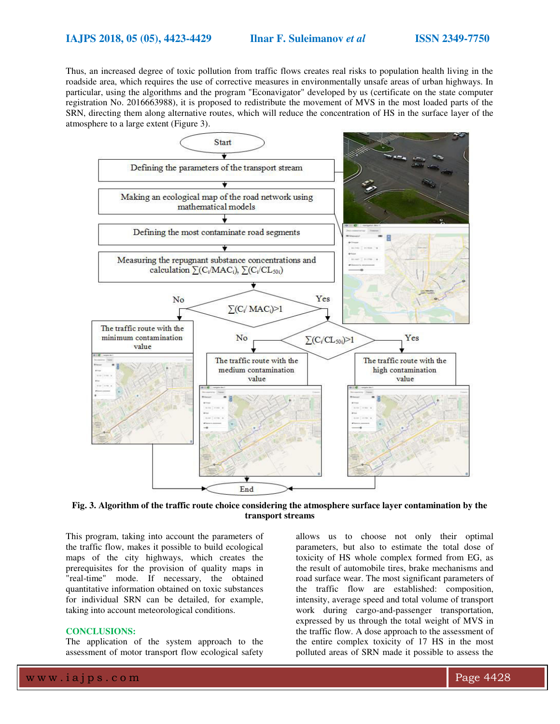Thus, an increased degree of toxic pollution from traffic flows creates real risks to population health living in the roadside area, which requires the use of corrective measures in environmentally unsafe areas of urban highways. In particular, using the algorithms and the program "Econavigator" developed by us (certificate on the state computer registration No. 2016663988), it is proposed to redistribute the movement of MVS in the most loaded parts of the SRN, directing them along alternative routes, which will reduce the concentration of HS in the surface layer of the atmosphere to a large extent (Figure 3).



**Fig. 3. Algorithm of the traffic route choice considering the atmosphere surface layer contamination by the transport streams** 

This program, taking into account the parameters of the traffic flow, makes it possible to build ecological maps of the city highways, which creates the prerequisites for the provision of quality maps in "real-time" mode. If necessary, the obtained quantitative information obtained on toxic substances for individual SRN can be detailed, for example, taking into account meteorological conditions.

#### **CONCLUSIONS:**

The application of the system approach to the assessment of motor transport flow ecological safety

allows us to choose not only their optimal parameters, but also to estimate the total dose of toxicity of HS whole complex formed from EG, as the result of automobile tires, brake mechanisms and road surface wear. The most significant parameters of the traffic flow are established: composition, intensity, average speed and total volume of transport work during cargo-and-passenger transportation, expressed by us through the total weight of MVS in the traffic flow. A dose approach to the assessment of the entire complex toxicity of 17 HS in the most polluted areas of SRN made it possible to assess the